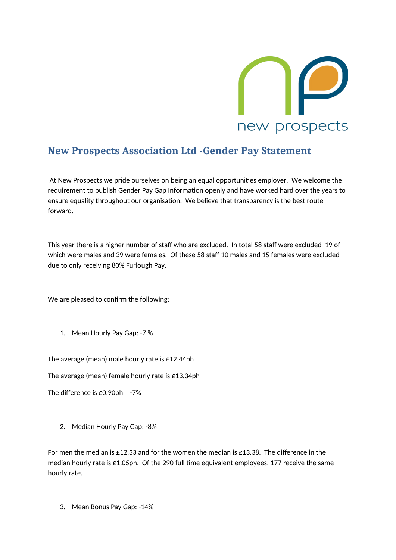

## **New Prospects Association Ltd -Gender Pay Statement**

At New Prospects we pride ourselves on being an equal opportunities employer. We welcome the requirement to publish Gender Pay Gap Information openly and have worked hard over the years to ensure equality throughout our organisation. We believe that transparency is the best route forward.

This year there is a higher number of staff who are excluded. In total 58 staff were excluded 19 of which were males and 39 were females. Of these 58 staff 10 males and 15 females were excluded due to only receiving 80% Furlough Pay.

We are pleased to confirm the following:

1. Mean Hourly Pay Gap: -7 %

The average (mean) male hourly rate is £12.44ph

The average (mean) female hourly rate is £13.34ph

The difference is £0.90ph = -7%

2. Median Hourly Pay Gap: -8%

For men the median is £12.33 and for the women the median is £13.38. The difference in the median hourly rate is £1.05ph. Of the 290 full time equivalent employees, 177 receive the same hourly rate.

3. Mean Bonus Pay Gap: -14%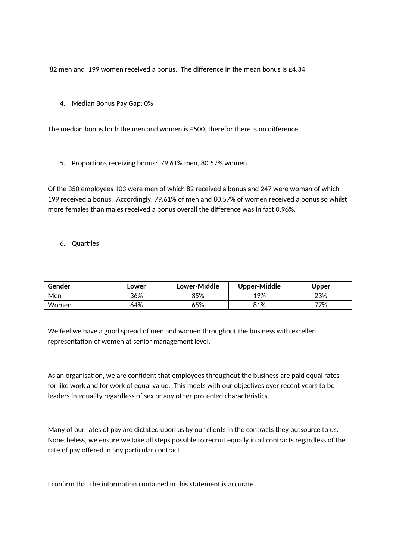82 men and 199 women received a bonus. The difference in the mean bonus is  $\epsilon$ 4.34.

4. Median Bonus Pay Gap: 0%

The median bonus both the men and women is £500, therefor there is no difference.

5. Proportions receiving bonus: 79.61% men, 80.57% women

Of the 350 employees 103 were men of which 82 received a bonus and 247 were woman of which 199 received a bonus. Accordingly, 79.61% of men and 80.57% of women received a bonus so whilst more females than males received a bonus overall the difference was in fact 0.96%.

6. Quartiles

| Gender | Lower | Lower-Middle | <b>Upper-Middle</b> | Upper |
|--------|-------|--------------|---------------------|-------|
| Men    | 36%   | 35%          | 19%                 | 23%   |
| Women  | 64%   | 65%          | 81%                 | 77%   |

We feel we have a good spread of men and women throughout the business with excellent representation of women at senior management level.

As an organisation, we are confident that employees throughout the business are paid equal rates for like work and for work of equal value. This meets with our objectives over recent years to be leaders in equality regardless of sex or any other protected characteristics.

Many of our rates of pay are dictated upon us by our clients in the contracts they outsource to us. Nonetheless, we ensure we take all steps possible to recruit equally in all contracts regardless of the rate of pay offered in any particular contract.

I confirm that the information contained in this statement is accurate.